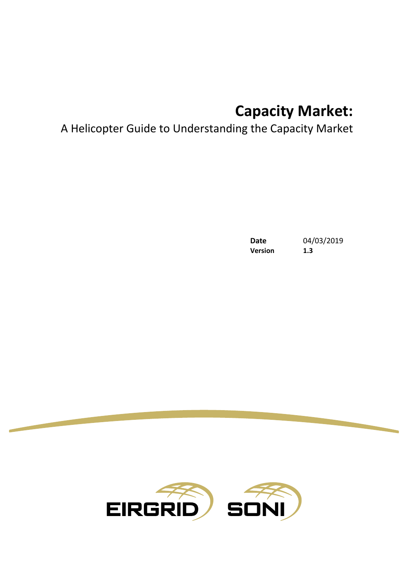# **Capacity Market:**

# A Helicopter Guide to Understanding the Capacity Market

**Version 1.3**

**Date** 04/03/2019

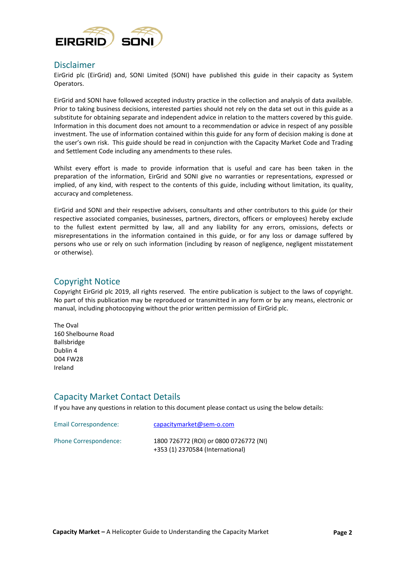

#### Disclaimer

EirGrid plc (EirGrid) and, SONI Limited (SONI) have published this guide in their capacity as System Operators.

EirGrid and SONI have followed accepted industry practice in the collection and analysis of data available. Prior to taking business decisions, interested parties should not rely on the data set out in this guide as a substitute for obtaining separate and independent advice in relation to the matters covered by this guide. Information in this document does not amount to a recommendation or advice in respect of any possible investment. The use of information contained within this guide for any form of decision making is done at the user's own risk. This guide should be read in conjunction with the Capacity Market Code and Trading and Settlement Code including any amendments to these rules.

Whilst every effort is made to provide information that is useful and care has been taken in the preparation of the information, EirGrid and SONI give no warranties or representations, expressed or implied, of any kind, with respect to the contents of this guide, including without limitation, its quality, accuracy and completeness.

EirGrid and SONI and their respective advisers, consultants and other contributors to this guide (or their respective associated companies, businesses, partners, directors, officers or employees) hereby exclude to the fullest extent permitted by law, all and any liability for any errors, omissions, defects or misrepresentations in the information contained in this guide, or for any loss or damage suffered by persons who use or rely on such information (including by reason of negligence, negligent misstatement or otherwise).

#### Copyright Notice

Copyright EirGrid plc 2019, all rights reserved. The entire publication is subject to the laws of copyright. No part of this publication may be reproduced or transmitted in any form or by any means, electronic or manual, including photocopying without the prior written permission of EirGrid plc.

The Oval 160 Shelbourne Road Ballsbridge Dublin 4 D04 FW28 Ireland

#### Capacity Market Contact Details

If you have any questions in relation to this document please contact us using the below details:

| Email Correspondence: | capacitymarket@sem-o.com                                                   |
|-----------------------|----------------------------------------------------------------------------|
| Phone Correspondence: | 1800 726772 (ROI) or 0800 0726772 (NI)<br>+353 (1) 2370584 (International) |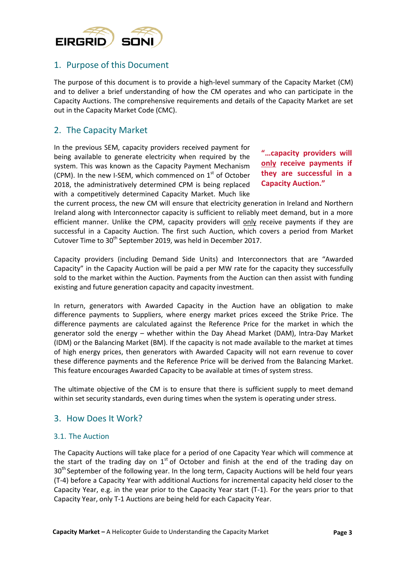

## 1. Purpose of this Document

The purpose of this document is to provide a high-level summary of the Capacity Market (CM) and to deliver a brief understanding of how the CM operates and who can participate in the Capacity Auctions. The comprehensive requirements and details of the Capacity Market are set out in the Capacity Market Code (CMC).

# 2. The Capacity Market

In the previous SEM, capacity providers received payment for being available to generate electricity when required by the system. This was known as the Capacity Payment Mechanism (CPM). In the new I-SEM, which commenced on  $1<sup>st</sup>$  of October 2018, the administratively determined CPM is being replaced with a competitively determined Capacity Market. Much like

**"…capacity providers will only receive payments if they are successful in a Capacity Auction."**

the current process, the new CM will ensure that electricity generation in Ireland and Northern Ireland along with Interconnector capacity is sufficient to reliably meet demand, but in a more efficient manner. Unlike the CPM, capacity providers will only receive payments if they are successful in a Capacity Auction. The first such Auction, which covers a period from Market Cutover Time to 30<sup>th</sup> September 2019, was held in December 2017.

Capacity providers (including Demand Side Units) and Interconnectors that are "Awarded Capacity" in the Capacity Auction will be paid a per MW rate for the capacity they successfully sold to the market within the Auction. Payments from the Auction can then assist with funding existing and future generation capacity and capacity investment.

In return, generators with Awarded Capacity in the Auction have an obligation to make difference payments to Suppliers, where energy market prices exceed the Strike Price. The difference payments are calculated against the Reference Price for the market in which the generator sold the energy – whether within the Day Ahead Market (DAM), Intra-Day Market (IDM) or the Balancing Market (BM). If the capacity is not made available to the market at times of high energy prices, then generators with Awarded Capacity will not earn revenue to cover these difference payments and the Reference Price will be derived from the Balancing Market. This feature encourages Awarded Capacity to be available at times of system stress.

The ultimate objective of the CM is to ensure that there is sufficient supply to meet demand within set security standards, even during times when the system is operating under stress.

#### 3. How Does It Work?

#### 3.1. The Auction

The Capacity Auctions will take place for a period of one Capacity Year which will commence at the start of the trading day on  $1<sup>st</sup>$  of October and finish at the end of the trading day on 30<sup>th</sup> September of the following year. In the long term, Capacity Auctions will be held four years (T-4) before a Capacity Year with additional Auctions for incremental capacity held closer to the Capacity Year, e.g. in the year prior to the Capacity Year start (T-1). For the years prior to that Capacity Year, only T-1 Auctions are being held for each Capacity Year.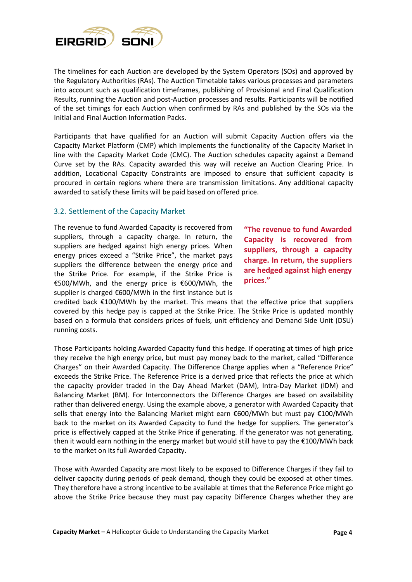

The timelines for each Auction are developed by the System Operators (SOs) and approved by the Regulatory Authorities (RAs). The Auction Timetable takes various processes and parameters into account such as qualification timeframes, publishing of Provisional and Final Qualification Results, running the Auction and post-Auction processes and results. Participants will be notified of the set timings for each Auction when confirmed by RAs and published by the SOs via the Initial and Final Auction Information Packs.

Participants that have qualified for an Auction will submit Capacity Auction offers via the Capacity Market Platform (CMP) which implements the functionality of the Capacity Market in line with the Capacity Market Code (CMC). The Auction schedules capacity against a Demand Curve set by the RAs. Capacity awarded this way will receive an Auction Clearing Price. In addition, Locational Capacity Constraints are imposed to ensure that sufficient capacity is procured in certain regions where there are transmission limitations. Any additional capacity awarded to satisfy these limits will be paid based on offered price.

#### 3.2. Settlement of the Capacity Market

The revenue to fund Awarded Capacity is recovered from suppliers, through a capacity charge. In return, the suppliers are hedged against high energy prices. When energy prices exceed a "Strike Price", the market pays suppliers the difference between the energy price and the Strike Price. For example, if the Strike Price is €500/MWh, and the energy price is €600/MWh, the supplier is charged €600/MWh in the first instance but is

**"The revenue to fund Awarded Capacity is recovered from suppliers, through a capacity charge. In return, the suppliers are hedged against high energy prices."**

credited back  $\epsilon$ 100/MWh by the market. This means that the effective price that suppliers covered by this hedge pay is capped at the Strike Price. The Strike Price is updated monthly based on a formula that considers prices of fuels, unit efficiency and Demand Side Unit (DSU) running costs.

Those Participants holding Awarded Capacity fund this hedge. If operating at times of high price they receive the high energy price, but must pay money back to the market, called "Difference Charges" on their Awarded Capacity. The Difference Charge applies when a "Reference Price" exceeds the Strike Price. The Reference Price is a derived price that reflects the price at which the capacity provider traded in the Day Ahead Market (DAM), Intra-Day Market (IDM) and Balancing Market (BM). For Interconnectors the Difference Charges are based on availability rather than delivered energy. Using the example above, a generator with Awarded Capacity that sells that energy into the Balancing Market might earn €600/MWh but must pay €100/MWh back to the market on its Awarded Capacity to fund the hedge for suppliers. The generator's price is effectively capped at the Strike Price if generating. If the generator was not generating, then it would earn nothing in the energy market but would still have to pay the €100/MWh back to the market on its full Awarded Capacity.

Those with Awarded Capacity are most likely to be exposed to Difference Charges if they fail to deliver capacity during periods of peak demand, though they could be exposed at other times. They therefore have a strong incentive to be available at times that the Reference Price might go above the Strike Price because they must pay capacity Difference Charges whether they are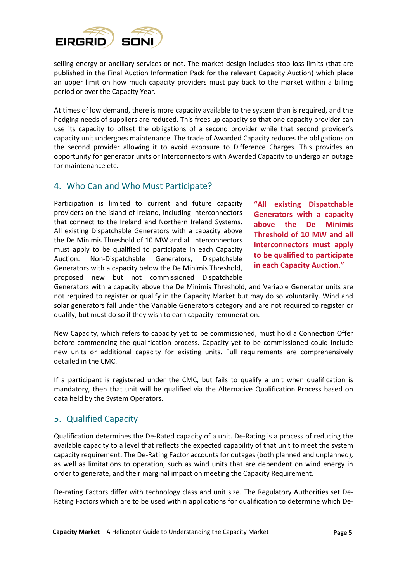

selling energy or ancillary services or not. The market design includes stop loss limits (that are published in the Final Auction Information Pack for the relevant Capacity Auction) which place an upper limit on how much capacity providers must pay back to the market within a billing period or over the Capacity Year.

At times of low demand, there is more capacity available to the system than is required, and the hedging needs of suppliers are reduced. This frees up capacity so that one capacity provider can use its capacity to offset the obligations of a second provider while that second provider's capacity unit undergoes maintenance. The trade of Awarded Capacity reduces the obligations on the second provider allowing it to avoid exposure to Difference Charges. This provides an opportunity for generator units or Interconnectors with Awarded Capacity to undergo an outage for maintenance etc.

#### 4. Who Can and Who Must Participate?

Participation is limited to current and future capacity providers on the island of Ireland, including Interconnectors that connect to the Ireland and Northern Ireland Systems. All existing Dispatchable Generators with a capacity above the De Minimis Threshold of 10 MW and all Interconnectors must apply to be qualified to participate in each Capacity Auction. Non-Dispatchable Generators, Dispatchable Generators with a capacity below the De Minimis Threshold, proposed new but not commissioned Dispatchable

**"All existing Dispatchable Generators with a capacity above the De Minimis Threshold of 10 MW and all Interconnectors must apply to be qualified to participate in each Capacity Auction."**

Generators with a capacity above the De Minimis Threshold, and Variable Generator units are not required to register or qualify in the Capacity Market but may do so voluntarily. Wind and solar generators fall under the Variable Generators category and are not required to register or qualify, but must do so if they wish to earn capacity remuneration.

New Capacity, which refers to capacity yet to be commissioned, must hold a Connection Offer before commencing the qualification process. Capacity yet to be commissioned could include new units or additional capacity for existing units. Full requirements are comprehensively detailed in the CMC.

If a participant is registered under the CMC, but fails to qualify a unit when qualification is mandatory, then that unit will be qualified via the Alternative Qualification Process based on data held by the System Operators.

#### 5. Qualified Capacity

Qualification determines the De-Rated capacity of a unit. De-Rating is a process of reducing the available capacity to a level that reflects the expected capability of that unit to meet the system capacity requirement. The De-Rating Factor accounts for outages (both planned and unplanned), as well as limitations to operation, such as wind units that are dependent on wind energy in order to generate, and their marginal impact on meeting the Capacity Requirement.

De-rating Factors differ with technology class and unit size. The Regulatory Authorities set De-Rating Factors which are to be used within applications for qualification to determine which De-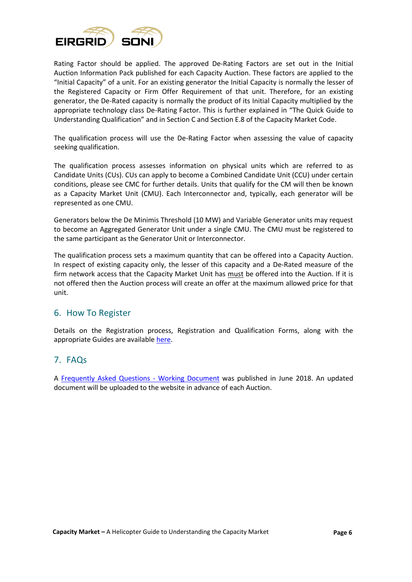

Rating Factor should be applied. The approved De-Rating Factors are set out in the Initial Auction Information Pack published for each Capacity Auction. These factors are applied to the "Initial Capacity" of a unit. For an existing generator the Initial Capacity is normally the lesser of the Registered Capacity or Firm Offer Requirement of that unit. Therefore, for an existing generator, the De-Rated capacity is normally the product of its Initial Capacity multiplied by the appropriate technology class De-Rating Factor. This is further explained in "The Quick Guide to Understanding Qualification" and in Section C and Section E.8 of the Capacity Market Code.

The qualification process will use the De-Rating Factor when assessing the value of capacity seeking qualification.

The qualification process assesses information on physical units which are referred to as Candidate Units (CUs). CUs can apply to become a Combined Candidate Unit (CCU) under certain conditions, please see CMC for further details. Units that qualify for the CM will then be known as a Capacity Market Unit (CMU). Each Interconnector and, typically, each generator will be represented as one CMU.

Generators below the De Minimis Threshold (10 MW) and Variable Generator units may request to become an Aggregated Generator Unit under a single CMU. The CMU must be registered to the same participant as the Generator Unit or Interconnector.

The qualification process sets a maximum quantity that can be offered into a Capacity Auction. In respect of existing capacity only, the lesser of this capacity and a De-Rated measure of the firm network access that the Capacity Market Unit has must be offered into the Auction. If it is not offered then the Auction process will create an offer at the maximum allowed price for that unit.

#### 6. How To Register

Details on the Registration process, Registration and Qualification Forms, along with the appropriate Guides are available [here.](http://lg.sem-o.com/ISEM/Pages/CapacityMarket.aspx)

#### 7. FAQs

A [Frequently Asked Questions -](http://www.sem-o.com/documents/general-publications/Capacity-Auction-FAQ.pdf) Working Document was published in June 2018. An updated document will be uploaded to the website in advance of each Auction.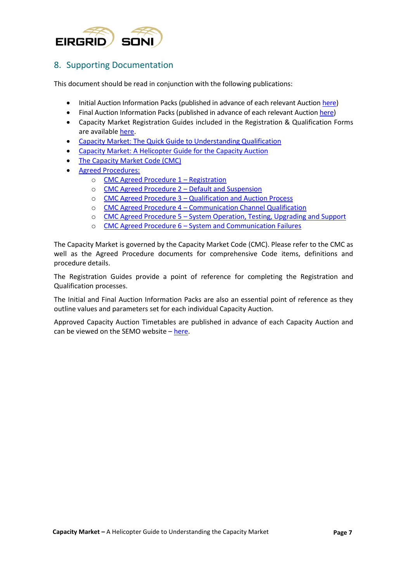

## 8. Supporting Documentation

This document should be read in conjunction with the following publications:

- Initial Auction Information Packs (published in advance of each relevant Auctio[n here\)](http://www.sem-o.com/publications/general-publications/index.xml?market=1511172710-0)
- [Final Auction Information Packs](http://www.sem-o.com/ISEM/General/Final%20Auction%20Information%20Pack%20v1.0.pdf) (published in advance of each relevant Auction [here\)](http://www.sem-o.com/publications/general-publications/index.xml?market=1511172710-0)
- Capacity Market Registration Guides included in the Registration & Qualification Forms are available [here.](http://lg.sem-o.com/ISEM/Pages/CapacityMarket.aspx)
- [Capacity Market: The Quick Guide to Understanding Qualification](http://www.sem-o.com/documents/general-publications/Capacity-Market-The-Quick-Guide-to-Understanding-Qualification.pdf)
- [Capacity Market: A Helicopter Guide for the Capacity Auction](http://www.sem-o.com/documents/general-publications/Capacity-Market-A-Helicopter-Guide-for-the-Capacity-Auction.pdf)
- [The Capacity Market Code \(CMC\)](https://www.semcommittee.com/sites/semcommittee.com/files/media-files/SEM-17-033a%20Capacity%20Market%20Code%20%28Final%20Publication%20Version%29.pdf)
- [Agreed Procedures:](https://www.semcommittee.com/publication/publication-i-sem-crm-capacity-market-code-decision)
	- o [CMC Agreed Procedure 1](https://www.semcommittee.com/sites/semcommittee.com/files/media-files/SEM-17-033c%20CMC%20Agreed%20Procedure%201-%20Registration_0.pdf)  Registration
	- o [CMC Agreed Procedure 2](https://www.semcommittee.com/sites/semcommittee.com/files/media-files/SEM-17-033d%20CMC%20Agreed%20Procedure%202%20-%20Default%20and%20Suspension.pdf)  Default and Suspension
	- o CMC Agreed Procedure 3 [Qualification and Auction Process](https://www.semcommittee.com/sites/semcommittee.com/files/media-files/SEM-17-033e%20CMC%20Agreed%20Procedure%203%20-%20Qualification%20and%20Auction%20Process.pdf)
	- o CMC Agreed Procedure 4 [Communication Channel Qualification](https://www.semcommittee.com/sites/semcommittee.com/files/media-files/SEM-17-033f%20CMC%20Agreed%20Procedure%204%20-%20Communication%20Channel%20Qualification.pdf)
	- o CMC Agreed Procedure 5 [System Operation, Testing, Upgrading and Support](https://www.semcommittee.com/sites/semcommittee.com/files/media-files/SEM-17-033g%20CMC%20Agreed%20Procedure%205%20-%20System%20Operation%2C%20Testing%2C%20Upgrading%20and%20Support.pdf)
	- o CMC Agreed Procedure 6 [System and Communication Failures](https://www.semcommittee.com/sites/semcommittee.com/files/media-files/SEM-17-033h%20CMC%20Agreed%20Procedure%206%20%20-%20System%20and%20Communication%20Failures.pdf)

The Capacity Market is governed by the Capacity Market Code (CMC). Please refer to the CMC as well as the Agreed Procedure documents for comprehensive Code items, definitions and procedure details.

The Registration Guides provide a point of reference for completing the Registration and Qualification processes.

The Initial and Final Auction Information Packs are also an essential point of reference as they outline values and parameters set for each individual Capacity Auction.

Approved Capacity Auction Timetables are published in advance of each Capacity Auction and can be viewed on the SEMO website – [here.](http://www.sem-o.com/publications/general-publications/index.xml?market=1511172710-0)